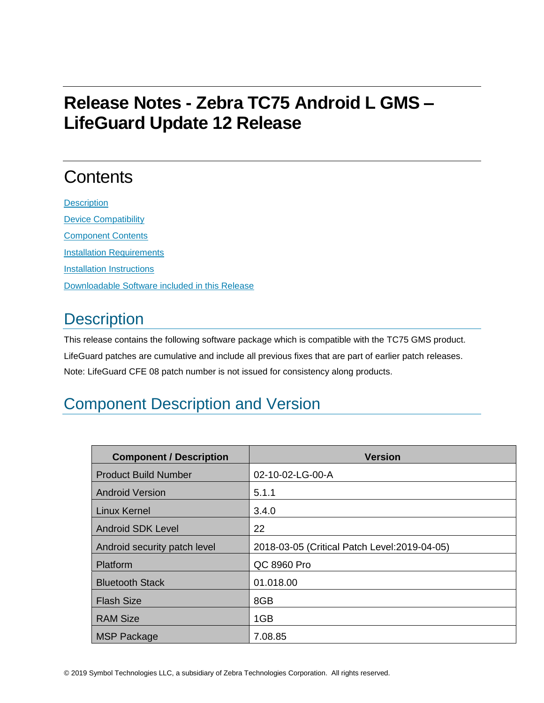# **Release Notes - Zebra TC75 Android L GMS – LifeGuard Update 12 Release**

# **Contents**

**[Description](#page-0-0)** [Device Compatibility](#page-7-0) [Component Contents](#page-7-1) [Installation Requirements](#page-7-2) [Installation Instructions](#page-7-3) [Downloadable Software included in this Release](#page-8-0)

## <span id="page-0-0"></span>**Description**

This release contains the following software package which is compatible with the TC75 GMS product. LifeGuard patches are cumulative and include all previous fixes that are part of earlier patch releases. Note: LifeGuard CFE 08 patch number is not issued for consistency along products.

## Component Description and Version

| <b>Component / Description</b> | <b>Version</b>                                |
|--------------------------------|-----------------------------------------------|
| <b>Product Build Number</b>    | 02-10-02-LG-00-A                              |
| <b>Android Version</b>         | 5.1.1                                         |
| <b>Linux Kernel</b>            | 3.4.0                                         |
| <b>Android SDK Level</b>       | 22                                            |
| Android security patch level   | 2018-03-05 (Critical Patch Level: 2019-04-05) |
| Platform                       | QC 8960 Pro                                   |
| <b>Bluetooth Stack</b>         | 01.018.00                                     |
| <b>Flash Size</b>              | 8GB                                           |
| <b>RAM Size</b>                | 1GB                                           |
| <b>MSP Package</b>             | 7.08.85                                       |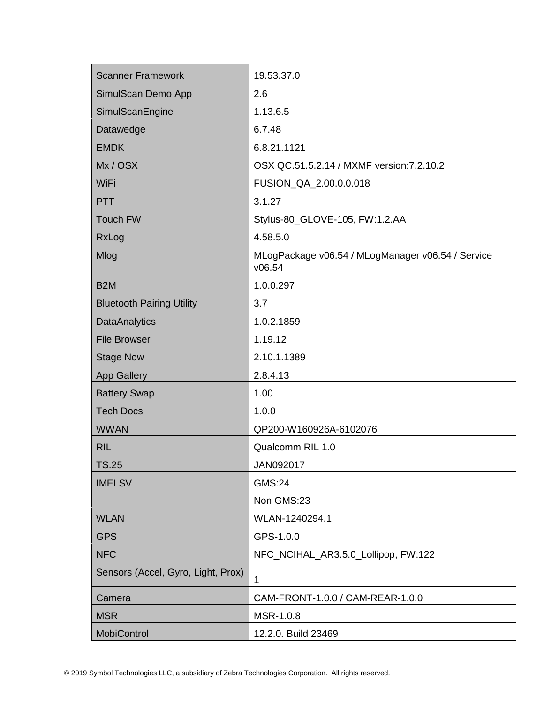| <b>Scanner Framework</b>           | 19.53.37.0                                                  |
|------------------------------------|-------------------------------------------------------------|
| SimulScan Demo App                 | 2.6                                                         |
| SimulScanEngine                    | 1.13.6.5                                                    |
| Datawedge                          | 6.7.48                                                      |
| <b>EMDK</b>                        | 6.8.21.1121                                                 |
| Mx/OSX                             | OSX QC.51.5.2.14 / MXMF version: 7.2.10.2                   |
| WiFi                               | FUSION_QA_2.00.0.0.018                                      |
| <b>PTT</b>                         | 3.1.27                                                      |
| <b>Touch FW</b>                    | Stylus-80_GLOVE-105, FW:1.2.AA                              |
| RxLog                              | 4.58.5.0                                                    |
| Mlog                               | MLogPackage v06.54 / MLogManager v06.54 / Service<br>v06.54 |
| B <sub>2</sub> M                   | 1.0.0.297                                                   |
| <b>Bluetooth Pairing Utility</b>   | 3.7                                                         |
| <b>DataAnalytics</b>               | 1.0.2.1859                                                  |
| <b>File Browser</b>                | 1.19.12                                                     |
| <b>Stage Now</b>                   | 2.10.1.1389                                                 |
| <b>App Gallery</b>                 | 2.8.4.13                                                    |
| <b>Battery Swap</b>                | 1.00                                                        |
| <b>Tech Docs</b>                   | 1.0.0                                                       |
| <b>WWAN</b>                        | QP200-W160926A-6102076                                      |
| <b>RIL</b>                         | Qualcomm RIL 1.0                                            |
| <b>TS.25</b>                       | JAN092017                                                   |
| <b>IMEI SV</b>                     | <b>GMS:24</b>                                               |
|                                    | Non GMS:23                                                  |
| <b>WLAN</b>                        | WLAN-1240294.1                                              |
| <b>GPS</b>                         | GPS-1.0.0                                                   |
| <b>NFC</b>                         | NFC_NCIHAL_AR3.5.0_Lollipop, FW:122                         |
| Sensors (Accel, Gyro, Light, Prox) | 1                                                           |
| Camera                             | CAM-FRONT-1.0.0 / CAM-REAR-1.0.0                            |
| <b>MSR</b>                         | MSR-1.0.8                                                   |
| MobiControl                        | 12.2.0. Build 23469                                         |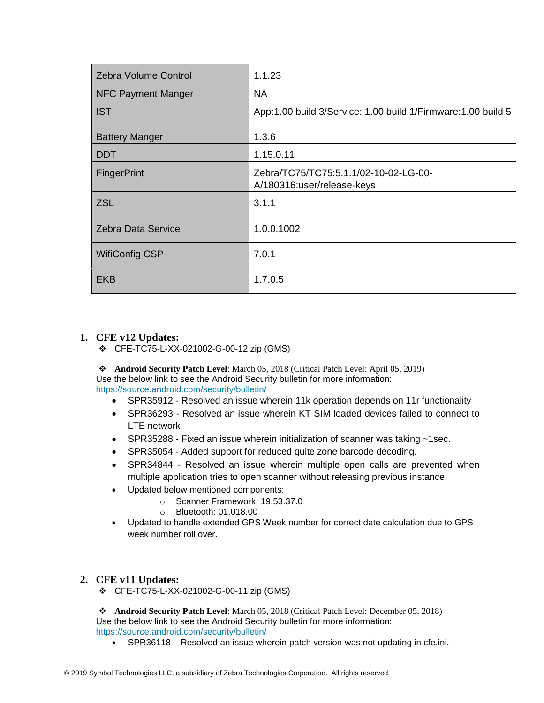| <b>Zebra Volume Control</b> | 1.1.23                                                              |
|-----------------------------|---------------------------------------------------------------------|
| <b>NFC Payment Manger</b>   | NA.                                                                 |
| <b>IST</b>                  | App:1.00 build 3/Service: 1.00 build 1/Firmware: 1.00 build 5       |
| <b>Battery Manger</b>       | 1.3.6                                                               |
| <b>DDT</b>                  | 1.15.0.11                                                           |
| <b>FingerPrint</b>          | Zebra/TC75/TC75:5.1.1/02-10-02-LG-00-<br>A/180316:user/release-keys |
| <b>ZSL</b>                  | 3.1.1                                                               |
| Zebra Data Service          | 1.0.0.1002                                                          |
| <b>WifiConfig CSP</b>       | 7.0.1                                                               |
| <b>EKB</b>                  | 1.7.0.5                                                             |

### **1. CFE v12 Updates:**

❖ CFE-TC75-L-XX-021002-G-00-12.zip (GMS)

❖ **Android Security Patch Level**: March 05, 2018 (Critical Patch Level: April 05, 2019) Use the below link to see the Android Security bulletin for more information: <https://source.android.com/security/bulletin/>

- SPR35912 Resolved an issue wherein 11k operation depends on 11r functionality
- SPR36293 Resolved an issue wherein KT SIM loaded devices failed to connect to LTE network
- SPR35288 Fixed an issue wherein initialization of scanner was taking ~1sec.
- SPR35054 Added support for reduced quite zone barcode decoding.
- SPR34844 Resolved an issue wherein multiple open calls are prevented when multiple application tries to open scanner without releasing previous instance.
- Updated below mentioned components:
	- o Scanner Framework: 19.53.37.0
	- o Bluetooth: 01.018.00
- Updated to handle extended GPS Week number for correct date calculation due to GPS week number roll over.

### **2. CFE v11 Updates:**

❖ CFE-TC75-L-XX-021002-G-00-11.zip (GMS)

❖ **Android Security Patch Level**: March 05, 2018 (Critical Patch Level: December 05, 2018) Use the below link to see the Android Security bulletin for more information: <https://source.android.com/security/bulletin/>

• SPR36118 – Resolved an issue wherein patch version was not updating in cfe.ini.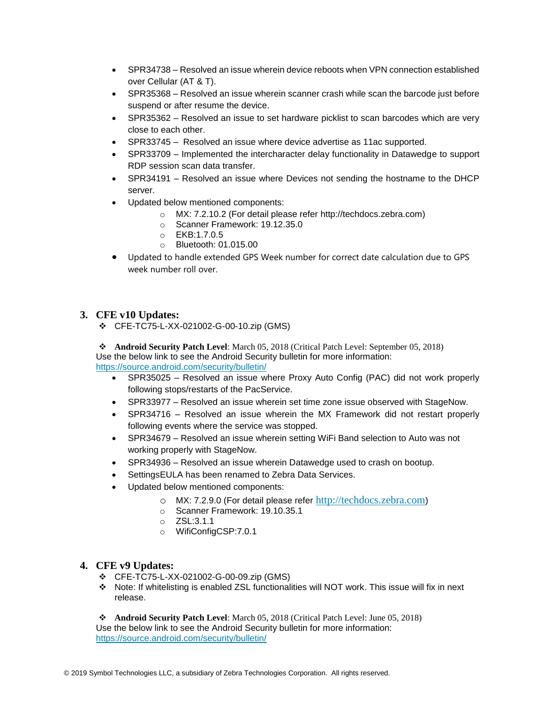- SPR34738 Resolved an issue wherein device reboots when VPN connection established over Cellular (AT & T).
- SPR35368 Resolved an issue wherein scanner crash while scan the barcode just before suspend or after resume the device.
- SPR35362 Resolved an issue to set hardware picklist to scan barcodes which are very close to each other.
- SPR33745 Resolved an issue where device advertise as 11ac supported.
- SPR33709 Implemented the intercharacter delay functionality in Datawedge to support RDP session scan data transfer.
- SPR34191 Resolved an issue where Devices not sending the hostname to the DHCP server.
- Updated below mentioned components:
	- o MX: 7.2.10.2 (For detail please refer [http://techdocs.zebra.com\)](http://techdocs.zebra.com/)
	- o Scanner Framework: 19.12.35.0
	- o EKB:1.7.0.5
	- o Bluetooth: 01.015.00
- Updated to handle extended GPS Week number for correct date calculation due to GPS week number roll over.

#### **3. CFE v10 Updates:**

❖ CFE-TC75-L-XX-021002-G-00-10.zip (GMS)

❖ **Android Security Patch Level**: March 05, 2018 (Critical Patch Level: September 05, 2018) Use the below link to see the Android Security bulletin for more information: <https://source.android.com/security/bulletin/>

- SPR35025 Resolved an issue where Proxy Auto Config (PAC) did not work properly following stops/restarts of the PacService.
- SPR33977 Resolved an issue wherein set time zone issue observed with StageNow.
- SPR34716 Resolved an issue wherein the MX Framework did not restart properly following events where the service was stopped.
- SPR34679 Resolved an issue wherein setting WiFi Band selection to Auto was not working properly with StageNow.
- SPR34936 Resolved an issue wherein Datawedge used to crash on bootup.
- SettingsEULA has been renamed to Zebra Data Services.
- Updated below mentioned components:
	- o MX: 7.2.9.0 (For detail please refer [http://techdocs.zebra.com](http://techdocs.zebra.com/))
	- o Scanner Framework: 19.10.35.1
	- o ZSL:3.1.1
	- o WifiConfigCSP:7.0.1

#### **4. CFE v9 Updates:**

- ❖ CFE-TC75-L-XX-021002-G-00-09.zip (GMS)
- ❖ Note: If whitelisting is enabled ZSL functionalities will NOT work. This issue will fix in next release.

❖ **Android Security Patch Level**: March 05, 2018 (Critical Patch Level: June 05, 2018) Use the below link to see the Android Security bulletin for more information: <https://source.android.com/security/bulletin/>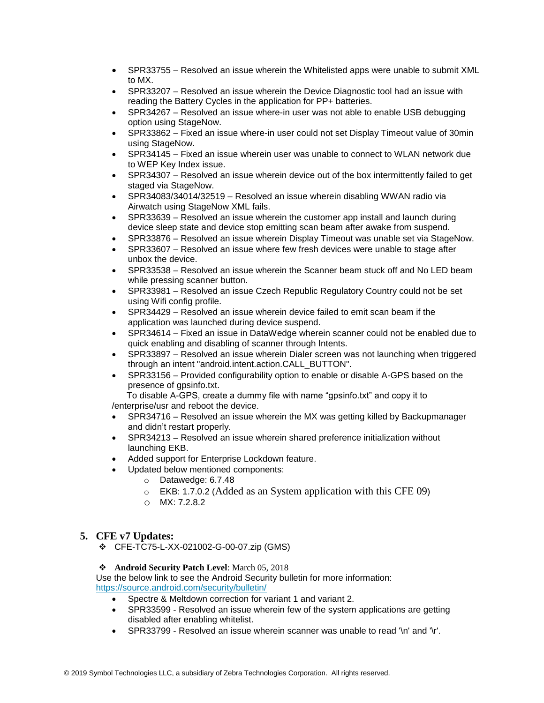- SPR33755 Resolved an issue wherein the Whitelisted apps were unable to submit XML to MX.
- SPR33207 Resolved an issue wherein the Device Diagnostic tool had an issue with reading the Battery Cycles in the application for PP+ batteries.
- SPR34267 Resolved an issue where-in user was not able to enable USB debugging option using StageNow.
- SPR33862 Fixed an issue where-in user could not set Display Timeout value of 30min using StageNow.
- SPR34145 Fixed an issue wherein user was unable to connect to WLAN network due to WEP Key Index issue.
- SPR34307 Resolved an issue wherein device out of the box intermittently failed to get staged via StageNow.
- SPR34083/34014/32519 Resolved an issue wherein disabling WWAN radio via Airwatch using StageNow XML fails.
- SPR33639 Resolved an issue wherein the customer app install and launch during device sleep state and device stop emitting scan beam after awake from suspend.
- SPR33876 Resolved an issue wherein Display Timeout was unable set via StageNow.
- SPR33607 Resolved an issue where few fresh devices were unable to stage after unbox the device.
- SPR33538 Resolved an issue wherein the Scanner beam stuck off and No LED beam while pressing scanner button.
- SPR33981 Resolved an issue Czech Republic Regulatory Country could not be set using Wifi config profile.
- SPR34429 Resolved an issue wherein device failed to emit scan beam if the application was launched during device suspend.
- SPR34614 Fixed an issue in DataWedge wherein scanner could not be enabled due to quick enabling and disabling of scanner through Intents.
- SPR33897 Resolved an issue wherein Dialer screen was not launching when triggered through an intent "android.intent.action.CALL\_BUTTON".
- SPR33156 Provided configurability option to enable or disable A-GPS based on the presence of gpsinfo.txt.

 To disable A-GPS, create a dummy file with name "gpsinfo.txt" and copy it to /enterprise/usr and reboot the device.

- SPR34716 Resolved an issue wherein the MX was getting killed by Backupmanager and didn't restart properly.
- SPR34213 Resolved an issue wherein shared preference initialization without launching EKB.
- Added support for Enterprise Lockdown feature.
- Updated below mentioned components:
	- o Datawedge: 6.7.48
	- o EKB: 1.7.0.2 (Added as an System application with this CFE 09)
	- o MX: 7.2.8.2

#### **5. CFE v7 Updates:**

❖ CFE-TC75-L-XX-021002-G-00-07.zip (GMS)

#### ❖ **Android Security Patch Level**: March 05, 2018

Use the below link to see the Android Security bulletin for more information: <https://source.android.com/security/bulletin/>

- Spectre & Meltdown correction for variant 1 and variant 2.
- SPR33599 Resolved an issue wherein few of the system applications are getting disabled after enabling whitelist.
- SPR33799 Resolved an issue wherein scanner was unable to read '\n' and '\r'.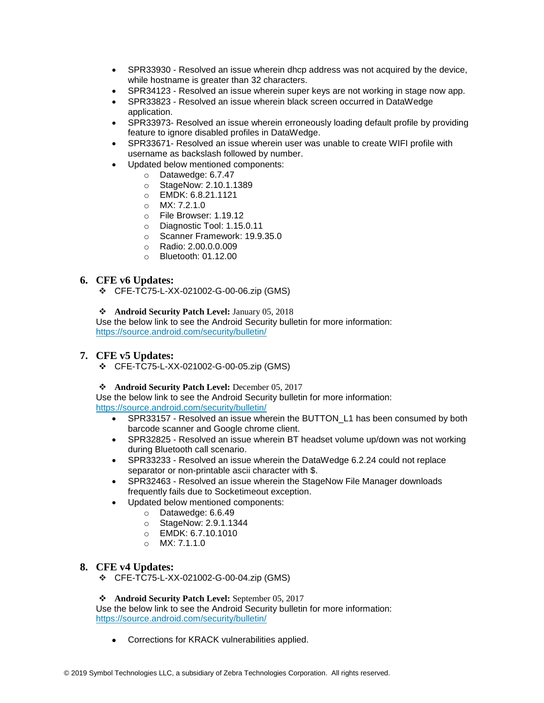- SPR33930 Resolved an issue wherein dhcp address was not acquired by the device, while hostname is greater than 32 characters.
- SPR34123 Resolved an issue wherein super keys are not working in stage now app.
- SPR33823 Resolved an issue wherein black screen occurred in DataWedge application.
- SPR33973- Resolved an issue wherein erroneously loading default profile by providing feature to ignore disabled profiles in DataWedge.
- SPR33671- Resolved an issue wherein user was unable to create WIFI profile with username as backslash followed by number.
- Updated below mentioned components:
	- o Datawedge: 6.7.47
	- o StageNow: 2.10.1.1389
	- o EMDK: 6.8.21.1121
	- o MX: 7.2.1.0
	- o File Browser: 1.19.12
	- o Diagnostic Tool: 1.15.0.11
	- o Scanner Framework: 19.9.35.0
	- o Radio: 2.00.0.0.009
	- o Bluetooth: 01.12.00

#### **6. CFE v6 Updates:**

❖ CFE-TC75-L-XX-021002-G-00-06.zip (GMS)

❖ **Android Security Patch Level:** January 05, 2018

Use the below link to see the Android Security bulletin for more information: <https://source.android.com/security/bulletin/>

#### **7. CFE v5 Updates:**

❖ CFE-TC75-L-XX-021002-G-00-05.zip (GMS)

❖ **Android Security Patch Level:** December 05, 2017

Use the below link to see the Android Security bulletin for more information: <https://source.android.com/security/bulletin/>

- SPR33157 Resolved an issue wherein the BUTTON\_L1 has been consumed by both barcode scanner and Google chrome client.
- SPR32825 Resolved an issue wherein BT headset volume up/down was not working during Bluetooth call scenario.
- SPR33233 Resolved an issue wherein the DataWedge 6.2.24 could not replace separator or non-printable ascii character with \$.
- SPR32463 Resolved an issue wherein the StageNow File Manager downloads frequently fails due to Socketimeout exception.
- Updated below mentioned components:
	- o Datawedge: 6.6.49
	- o StageNow: 2.9.1.1344
	- o EMDK: 6.7.10.1010
	- o MX: 7.1.1.0

#### **8. CFE v4 Updates:**

❖ CFE-TC75-L-XX-021002-G-00-04.zip (GMS)

#### ❖ **Android Security Patch Level:** September 05, 2017

Use the below link to see the Android Security bulletin for more information: <https://source.android.com/security/bulletin/>

• Corrections for KRACK vulnerabilities applied.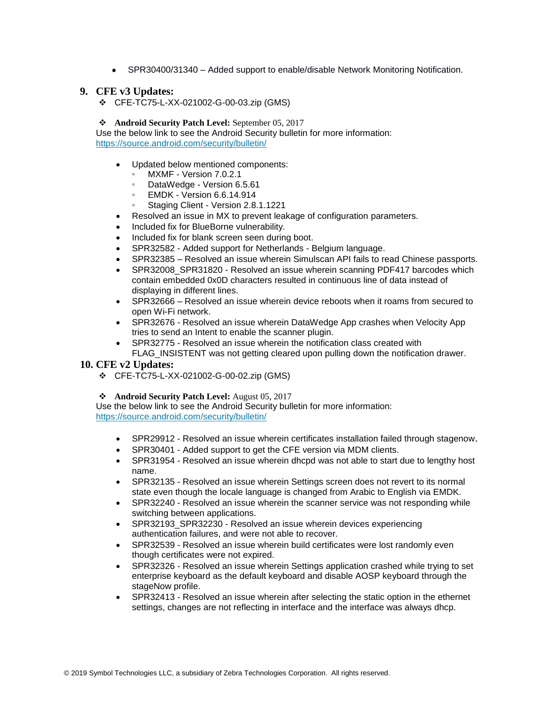• SPR30400/31340 – Added support to enable/disable Network Monitoring Notification.

#### **9. CFE v3 Updates:**

- ❖ CFE-TC75-L-XX-021002-G-00-03.zip (GMS)
- ❖ **Android Security Patch Level:** September 05, 2017

Use the below link to see the Android Security bulletin for more information: <https://source.android.com/security/bulletin/>

- Updated below mentioned components:
	- MXMF Version 7.0.2.1
	- DataWedge Version 6.5.61
	- EMDK Version 6.6.14.914
	- Staging Client Version 2.8.1.1221
- Resolved an issue in MX to prevent leakage of configuration parameters.
- Included fix for BlueBorne vulnerability.
- Included fix for blank screen seen during boot.
- SPR32582 Added support for Netherlands Belgium language.
- SPR32385 Resolved an issue wherein Simulscan API fails to read Chinese passports.
- SPR32008\_SPR31820 Resolved an issue wherein scanning PDF417 barcodes which contain embedded 0x0D characters resulted in continuous line of data instead of displaying in different lines.
- SPR32666 Resolved an issue wherein device reboots when it roams from secured to open Wi-Fi network.
- SPR32676 Resolved an issue wherein DataWedge App crashes when Velocity App tries to send an Intent to enable the scanner plugin.
- SPR32775 Resolved an issue wherein the notification class created with
- FLAG INSISTENT was not getting cleared upon pulling down the notification drawer.

#### **10. CFE v2 Updates:**

❖ CFE-TC75-L-XX-021002-G-00-02.zip (GMS)

#### ❖ **Android Security Patch Level:** August 05, 2017

Use the below link to see the Android Security bulletin for more information:

<https://source.android.com/security/bulletin/>

- SPR29912 Resolved an issue wherein certificates installation failed through stagenow.
- SPR30401 Added support to get the CFE version via MDM clients.
- SPR31954 Resolved an issue wherein dhcpd was not able to start due to lengthy host name.
- SPR32135 Resolved an issue wherein Settings screen does not revert to its normal state even though the locale language is changed from Arabic to English via EMDK.
- SPR32240 Resolved an issue wherein the scanner service was not responding while switching between applications.
- SPR32193 SPR32230 Resolved an issue wherein devices experiencing authentication failures, and were not able to recover.
- SPR32539 Resolved an issue wherein build certificates were lost randomly even though certificates were not expired.
- SPR32326 Resolved an issue wherein Settings application crashed while trying to set enterprise keyboard as the default keyboard and disable AOSP keyboard through the stageNow profile.
- SPR32413 Resolved an issue wherein after selecting the static option in the ethernet settings, changes are not reflecting in interface and the interface was always dhcp.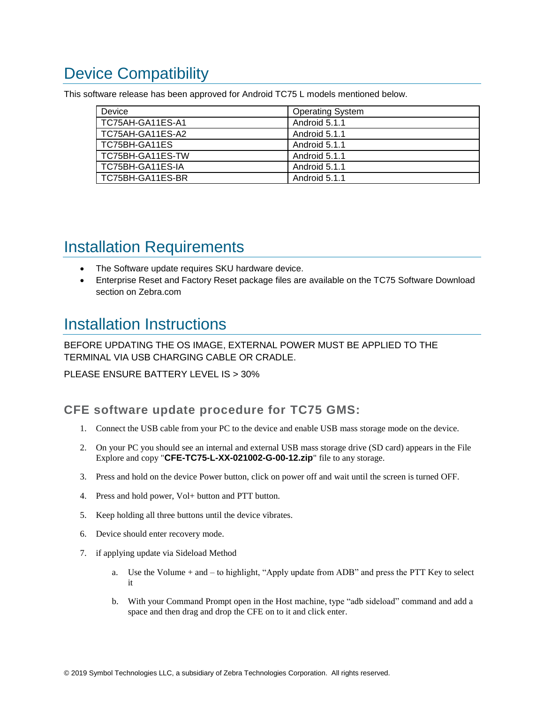# <span id="page-7-0"></span>Device Compatibility

This software release has been approved for Android TC75 L models mentioned below.

| Device           | <b>Operating System</b> |
|------------------|-------------------------|
| TC75AH-GA11ES-A1 | Android 5.1.1           |
| TC75AH-GA11ES-A2 | Android 5.1.1           |
| TC75BH-GA11ES    | Android 5.1.1           |
| TC75BH-GA11ES-TW | Android 5.1.1           |
| TC75BH-GA11ES-IA | Android 5.1.1           |
| TC75BH-GA11ES-BR | Android 5.1.1           |

## <span id="page-7-2"></span><span id="page-7-1"></span>Installation Requirements

- The Software update requires SKU hardware device.
- Enterprise Reset and Factory Reset package files are available on the TC75 Software Download section on Zebra.com

### <span id="page-7-3"></span>Installation Instructions

BEFORE UPDATING THE OS IMAGE, EXTERNAL POWER MUST BE APPLIED TO THE TERMINAL VIA USB CHARGING CABLE OR CRADLE.

PLEASE ENSURE BATTERY LEVEL IS > 30%

### **CFE software update procedure for TC75 GMS:**

- 1. Connect the USB cable from your PC to the device and enable USB mass storage mode on the device.
- 2. On your PC you should see an internal and external USB mass storage drive (SD card) appears in the File Explore and copy "**CFE-TC75-L-XX-021002-G-00-12.zip**" file to any storage.
- 3. Press and hold on the device Power button, click on power off and wait until the screen is turned OFF.
- 4. Press and hold power, Vol+ button and PTT button.
- 5. Keep holding all three buttons until the device vibrates.
- 6. Device should enter recovery mode.
- 7. if applying update via Sideload Method
	- a. Use the Volume + and to highlight, "Apply update from ADB" and press the PTT Key to select it
	- b. With your Command Prompt open in the Host machine, type "adb sideload" command and add a space and then drag and drop the CFE on to it and click enter.